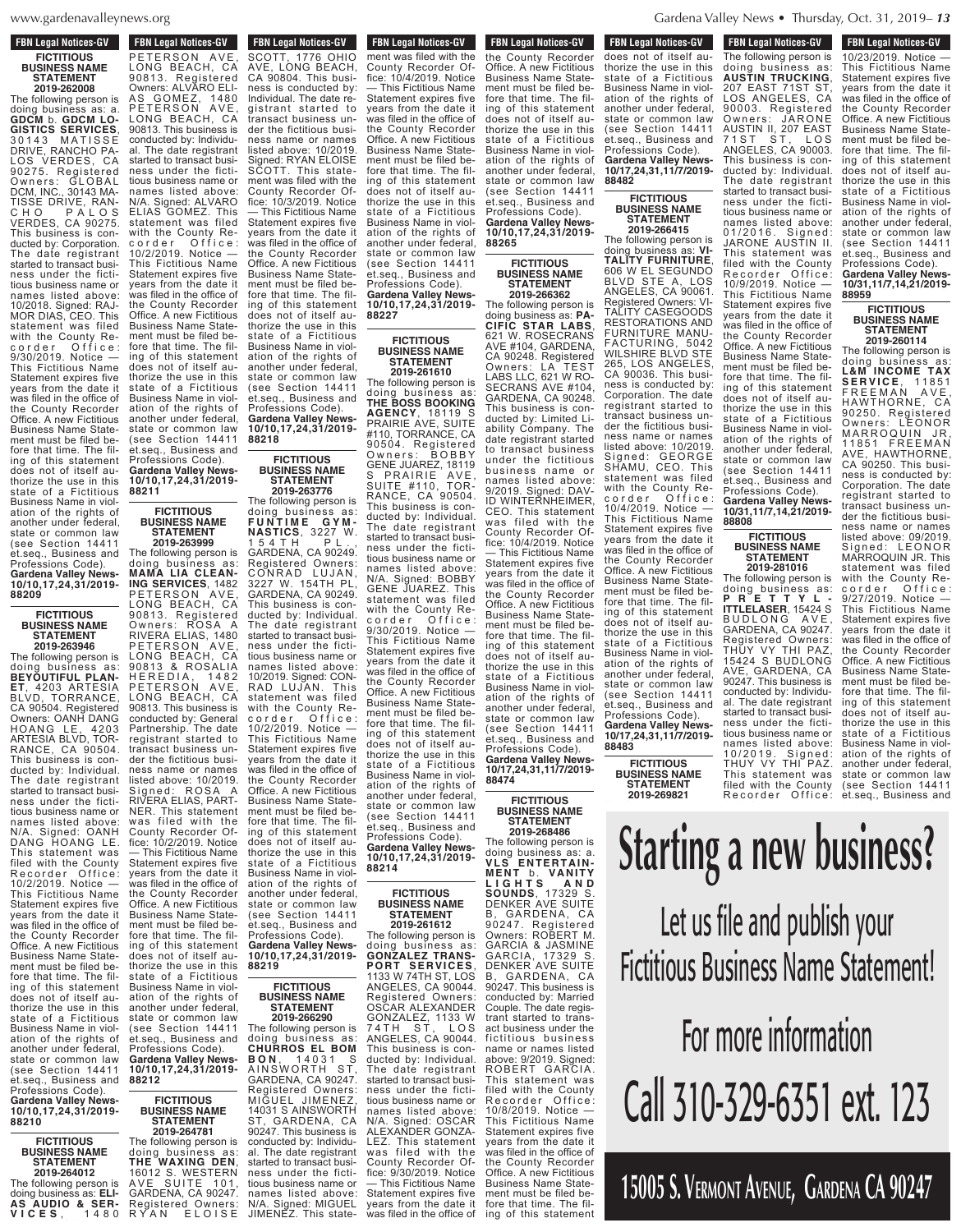The following person is doing business as: **ELI-**

## **FBN Legal Notices-GV FICTITIOUS BUSINESS NAME STATEMENT**

**2019-262008** The following person is doing business as: a. **GDCM** b. **GDCM LO-GISTICS SERVICES**, 30143 MATISSE DRIVE, RANCHO PA-LOS VERDES, CA 90275. Registered Owners: GLOBAL DCM, INC., 30143 MA-TISSE DRIVE, RAN-C H O P A L O S VERDES, CA 90275. This business is conducted by: Corporation. The date registrant started to transact business under the fictitious business name or names listed above: 10/2018. Signed: RAJ-MOR DIAS, CEO. This statement was filed with the County Re- $O$  f f i c  $e$  : 9/30/2019. Notice — This Fictitious Name Statement expires five years from the date it was filed in the office of the County Recorder Office. A new Fictitious Business Name Statement must be filed before that time. The filing of this statement does not of itself authorize the use in this state of a Fictitious Business Name in violation of the rights of another under federal, state or common law (see Section 14411 et.seq., Business and Professions Code). **Gardena Valley News-10/10,17,24,31/2019- 88209**

#### **FICTITIOUS BUSINESS NAME STATEMENT 2019-263946**

The following person is doing business as: **BEYOUTIFUL PLAN-ET**, 4203 ARTESIA BLVD, TORRANCE, CA 90504. Registered Owners: OANH DANG HOANG LE, 4203 ARTESIA BLVD, TOR-RANCE, CA 90504. This business is conducted by: Individual. The date registrant started to transact business under the fictitious business name or names listed above: N/A. Signed: OANH DANG HOANG LE. This statement was filed with the County<br>Recorder Office: Recorder Office: 10/2/2019. Notice — This Fictitious Name Statement expires five years from the date it was filed in the office of County Recorder Office. A new Fictitious Business Name Statement must be filed be-<br>fore that time. The filfore that time. ing of this statement does not of itself authorize the use in this state of a Fictitious Business Name in violation of the rights of another under federal, state or common law (see Section 14411 et.seq., Business and Professions Code).

**Gardena Valley News-10/10,17,24,31/2019- 88210**

#### **FICTITIOUS BUSINESS NAME STATEMENT 2019-264012**

The following person is doing business as: **ELI-AS AUDIO & SER-V I C E S** , 1 4 8 0 AS AUDIO & SER- Registered Owners:<br>VICES, 1480 RYAN ELOISE<br>L

**A** *A* **<b>AUDIO** *AUDIO* **BI AUDIO** *AUDIO AUDIO AUDIO AUDIO AUDIO AUDIO AUDIO AUDIO AUDIO AUDIO AUDIO AUDIO AUDIO AUDIO AUDIO AUDIO* **FEBIN LEGAL MULLES-GV** PETERSON AVE, LONG BEACH, CA 90813. Registered Owners: ALVARO ELI-AS GOMEZ, 1480 PETERSON AVE, LONG BEACH, CA 90813. This business is conducted by: Individual. The date registrant started to transact business under the fictitious business name or names listed above: N/A. Signed: ALVARO ELIAS GOMEZ. This statement was filed with the County Recorder Office: 10/2/2019. Notice — This Fictitious Name Statement expires five years from the date it was filed in the office of the County Recorder Office. A new Fictitious Business Name Statement must be filed before that time. The filing of this statement does not of itself authorize the use in this state of a Fictitious Business Name in violation of the rights of another under federal, state or common law (see Section 14411 et.seq., Business and Professions Code). **Gardena Valley News-10/10,17,24,31/2019-** CA 90804. This busider the fictitious business name or names listed above: 10/2019. SCOTT. This statewas filed in the office of Business Name Statement must be filed bethorize the use in this state of a Fictitious Business Name in violation of the rights of another under federal, state or common (see Section 14411 et.seq., Business and Professions Code). **Gardena Valley News-10/10,17,24,31/2019- 88218 FICTITIOUS BUSINESS NAME STATEMENT**

# **FICTITIOUS BUSINESS NAME STATEMENT 2019-263999**

**2019-263776** The following person is doing business as: **F U N T I M E G Y M - NASTICS**, 3227 W. 1 5 4 T H P L . ,

**FICTITIOUS**

**STATEMENT 2019-266290**

ment was filed with the

**88211**

The following person is doing business as: **MAMA LIA CLEAN-ING SERVICES**, 1482 PETERSON AVE, LONG BEACH, CA 90813. Registered Owners: ROSA A RIVERA ELIAS, 1480 PETERSON AVE, LONG BEACH, CA 90813 & ROSALIA H E R E D I A , 1 4 8 2 PETERSON AVE, LONG BEACH, CA 90813. This business is conducted by: General Partnership. The date registrant started to transact business under the fictitious business name or names listed above: 10/2019. Signed: ROSA A RIVERA ELIAS, PART-NER. This statement was filed with the County Recorder Office: 10/2/2019. Notice — This Fictitious Name Statement expires five years from the date it was filed in the office of the County Recorder Office. A new Fictitious Business Name Statement must be filed before that time. The filing of this statement does not of itself authorize the use in this state of a Fictitious Business Name in violation of the rights of another under federal, state or common law (see Section 14411 GARDENA, CA 90249. Registered Owners: CONRAD LUJAN, 3227 W. 154TH PL, GARDENA, CA 90249. This business is conducted by: Individual. The date registrant started to transact business under the fictitious business name or names listed above: 10/2019. Signed: CON-RAD LUJAN. This statement was filed with the County Recorder Office: 10/2/2019. Notice — This Fictitious Name Statement expires five years from the date it was filed in the office of the County Recorder Office. A new Fictitious Business Name Statement must be filed before that time. The filing of this statement does not of itself authorize the use in this state of a Fictitious Business Name in violation of the rights of another under federal, state or common law (see Section 14411 et.seq., Business and Professions Code). **Gardena Valley News-10/10,17,24,31/2019- 88219 BUSINESS NAME** The following person is

et.seq., Business and Professions Code). **Gardena Valley News-10/10,17,24,31/2019- 88212**

#### **FICTITIOUS BUSINESS NAME STATEMENT**

**2019-264781** The following person is doing business as: **THE WAXING DEN**, 16012 S. WESTERN AVE SUITE 101, GARDENA, CA 90247. ST, GARDENA, CA 90247. This business is conducted by: Individual. The date registrant started to transact business under the fictitious business name or names listed above: N/A. Signed: MIGUEL JIMENEZ. This state-

**FBN Legal Notices-GV FON LEGAL NUMBER-QV** SCOTT, 1776 OHIO AVE, LONG BEACH, ness is conducted by: Individual. The date registrant started to transact business un-Signed: RYAN ELOISE ment was filed with the County Recorder Office: 10/3/2019. Notice — This Fictitious Name Statement expires five years from the date it the County Recorder Office. A new Fictitious fore that time. The filing of this statement does not of itself au-**FBN Legal Notices-GV THIS CONSERVANCE TO A THIS STATE** ment was filed with the County Recorder Office: 10/4/2019. Notice — This Fictitious Name Statement expires five years from the date it was filed in the office of the County Recorder Office. A new Fictitious Business Name Statement must be filed before that time. The filing of this statement does not of itself authorize the use in this state of a Fictitious Business Name in violation of the rights of another under federal, state or common law (see Section 14411)<br>et.seq., Business and et.seq., Business and Professions Code). **Gardena Valley News-10/10,17,24,31/2019- 88227**

**FICTITIOUS BUSINESS NAME STATEMENT 2019-261610** The following person is doing business as: **THE BOSS BOOKING**

**AGENCY**, 18119 S PRAIRIE AVE, SUITE #110, TORRANCE, CA 90504. Registered Owners: BOBBY GENE JUAREZ, 18119 S PRAIRIE AVE, SUITE #110, TOR-RANCE, CA 90504. This business is conducted by: Individual. The date registrant started to transact business under the fictitious business name or names listed above: N/A. Signed: BOBBY GENE JUAREZ. This statement was filed with the County Recorder Office: 9/30/2019. Notice — This Fictitious Name Statement expires five years from the date it was filed in the office of the County Recorder Office. A new Fictitious Business Name Statement must be filed before that time. The filing of this statement does not of itself authorize the use in this state of a Fictitious Business Name in violation of the rights of another under federal, state or common law (see Section 14411 et.seq., Business and Professions Code). **Gardena Valley News-10/10,17,24,31/2019-**

#### **FICTITIOUS BUSINESS NAME STATEMENT 2019-261612**

**88214**

doing business as: **CHURROS EL BOM B O N** , 1 4 0 3 1 S AINSWORTH ST, GARDENA, CA 90247. Registered Owners: MIGUEL JIMENEZ, 14031 S AINSWORTH The following person is doing business as: **GONZALEZ TRANS-PORT SERVICES**, 1133 W 74TH ST, LOS ANGELES, CA 90044. Registered Owners: OSCAR ALEXANDER GONZALEZ, 1133 W 74TH ST, LOS ANGELES, CA 90044. This business is conducted by: Individual. The date registrant started to transact business under the fictitious business name or names listed above: N/A. Signed: OSCAR ALEXANDER GONZA-LEZ. This statement<br>was filed with the County Recorder Office: 9/30/2019. Notice — This Fictitious Name Statement expires five years from the date it

was filed in the office of the County Recorder

**FBN Legal Notices-GV FILED IN LEGAL INDICES-CIV** the County Recorder Office. A new Fictitious Business Name Statement must be filed before that time. The filing of this statement does not of itself authorize the use in this state of a Fictitious Business Name in violation of the rights of another under federal, state or common law (see Section 14411 et.seq., Business and Professions Code). **Gardena Valley News-88482**

**10/10,17,24,31/2019- 88265**

**FICTITIOUS BUSINESS NAME STATEMENT 2019-266362**

The following person is doing business as: **PA-CIFIC STAR LABS**, 621 W. ROSECRANS AVE #104, GARDENA, CA 90248. Registered Owners: LA TEST LABS LLC, 621 W RO-SECRANS AVE #104, GARDENA, CA 90248. This business is conducted by: Limited Liability Company. The date registrant started to transact business under the fictitious business name or names listed above: 9/2019. Signed: DAV-ID WINTERNHEIMER, CEO. This statement was filed with the County Recorder Office: 10/4/2019. Notice — This Fictitious Name Statement expires five years from the date it was filed in the office of the County Recorder Office. A new Fictitious Business Name Statement must be filed before that time. The filing of this statement does not of itself authorize the use in this state of a Fictitious Business Name in violation of the rights of another under federal, state or common law (see Section 14411 et.seq., Business and Professions Code).

**Gardena Valley News-10/17,24,31,11/7/2019- 88474**

**FICTITIOUS BUSINESS NAME STATEMENT 2019-268486**

The following person is doing business as: a. **VLS ENTERTAIN-M E N T** b . **V A N ITY L I G H T S A N D SOUNDS**, 17329 S. DENKER AVE SUITE B, GARDENA, CA 90247. Registered Owners: ROBERT M. GARCIA & JASMINE GARCIA, 17329 S. DENKER AVE SUITE B, GARDENA, CA 90247. This business is conducted by: Married Couple. The date registrant started to transact business under the fictitious business name or names listed 9/2019. Signed: ROBERT GARCIA. This statement was filed with the County Recorder Office: 10/8/2019. Notice — This Fictitious Name Statement expires five years from the date it was filed in the office of the County Recorder Office. A new Fictitious Business Name Statement must be filed before that time. The filing of this statement

does not of itself au-

**FBN Legal Notices-GV FIGURE CONSERVANCES** FIGURE does not of itself au-<br>thorize the use in this state of a Fictitious Business Name in violation of the rights of another under federal, state or common law (see Section 14411 et.seq., Business and Professions Code). **Gardena Valley News-10/17,24,31,11/7/2019- FICTITIOUS BUSINESS NAME STATEMENT 2019-266415** The following person is doing business as: **VI-TALITY FURNITURE**, 606 W EL SEGUNDO BLVD STE A, LOS ANGELES, CA 90061. Registered Owners: VI-TALITY CASEGOODS RESTORATIONS AND FURNITURE MANU-FACTURING, 5042 WILSHIRE BLVD STE 265, LOS ANGELES, CA 90036. This business is conducted by: Corporation. The date registrant started to transact business under the fictitious business name or names listed above: 10/2019. Signed: GEORGE SHAMU, CEO. This statement was filed with the County Recorder Office: 10/4/2019. Notice — This Fictitious Name Statement expires five years from the date it was filed in the office of the County Recorder Office. A new Fictitious Business Name Statement must be filed before that time. The filing of this statement does not of itself authorize the use in this state of a Fictitious Business Name in violation of the rights of another under federal, state or common law **FBN Legal Notices-GV STATEMENT 28981 NOTICES** The following person is doing business as: **AUSTIN TRUCKING**, 207 EAST 71ST ST, LOS ANGELES, CA 90003. Registered Owners: JARONE AUSTIN II, 207 EAST 71ST ST, LOS ANGELES, CA 90003. This business is conducted by: Individual. The date registrant started to transact business under the fictitious business name or names listed above: 01/2016. Signed: JARONE AUSTIN II. This statement was filed with the County Recorder Office: 10/9/2019. Notice — This Fictitious Name Statement expires five years from the date it was filed in the office of County Recorder Office. A new Fictitious Business Name Statement must be filed be-<br>fore that time. The filfore that time. ing of this statement does not of itself authorize the use in this state of a Fictitious Business Name in violation of the rights of another under federal, state or common law (see Section 14411 et.seq., Business and Professions Code). **Gardena Valley News-10/31,11/7,14,21/2019- 88808 FICTITIOUS BUSINESS NAME STATEMENT 2019-281016** The following person is doing business as: **P R E T T Y L - ITTLELASER**, 15424 S BUDLONG AVE, GARDENA, CA 90247. Registered Owners: THUY VY THI PAZ,

**10/17,24,31,11/7/2019-** 15424 S BUDLONG AVE, GARDENA, CA 90247. This business is conducted by: Individual. The date registrant started to transact business under the fictitious business name or names listed above: 10/2019. Signed: THUY VY THI PAZ. This statement was filed with the County Recorder Office:

> 10/23/2019. Notice — This Fictitious Name Statement expires five years from the date it is a set of the date in the date in the date it is a set of the date it is a set of the was filed in the office of

(see Section 14411 et.seq., Business and Professions Code). **Gardena Valley News-**

**FICTITIOUS BUSINESS NAME STATEMENT 2019-269821** The following person is doing business as: **AUSTIN TRUCKING**,  $\Gamma$  and  $\Gamma$  and  $\Gamma$ LOS ANGELES, C

 $\overline{\phantom{a}}$  1  $\overline{\phantom{a}}$  1  $\overline{\phantom{a}}$  1  $\overline{\phantom{a}}$  1  $\overline{\phantom{a}}$  1  $\overline{\phantom{a}}$  1  $\overline{\phantom{a}}$  1  $\overline{\phantom{a}}$  1  $\overline{\phantom{a}}$  1  $\overline{\phantom{a}}$  1  $\overline{\phantom{a}}$  1  $\overline{\phantom{a}}$  1  $\overline{\phantom{a}}$  1  $\overline{\phantom{a}}$  1  $\overline{\phantom{a}}$  1  $\overline{\phantom{a}}$ 

does not of itself au-

(see Section 1441)<br>(see Section 1441)<br>(see Section 1441)

**88483**

**FBN Legal Notices-GV** 10/23/2019. Notice — This Fictitious Name Statement expires five years from the date it was filed in the office of the County Recorder Office. A new Fictitious Business Name Statement must be filed before that time. The filing of this statement does not of itself authorize the use in this state of a Fictitious Business Name in violation of the rights of another under federal, state or common law (see Section 14411 et.seq., Business and

Professions Code). **Gardena Valley News-10/31,11/7,14,21/2019-**

#### **FICTITIOUS BUSINESS NAME STATEMENT 2019-260114**

**88959**

The following person is doing business as: **L&M INCOME TAX S E R V I C E** , 1 1 8 5 1 F R E E M A N A V E , FREEMAN AVE<br>HAWTHORNE, CA 90250. Registered Owners: LEONOR MARROQUIN JR, 11851 FREEMAN AVE, HAWTHORNE, CA 90250. This business is conducted by: Corporation. The date registrant started to transact business under the fictitious business name or names listed above: 09/2019. Signed: LEONOR MARROQUIN JR. This statement was filed with the County Recorder Office: 9/27/2019. Notice — This Fictitious Name Statement expires five years from the date it was filed in the office of the County Recorder Office. A new Fictitious Business Name Statement must be filed be fore that time. The filing of this statement does not of itself authorize the use in this state of a Fictitious Business Name in violation of the rights of another under federal, state or common law (see Section 14411 et.seq., Business and

Professions Code). **10/31,11/7,14,21/2019-**

**88961**

**Starting a new business?** Let us file and publish your Fictitious Business Name Statement! 90003. Regi s tered  $\cup$  own energy AUSTIN II, 207 EAST 7 1 S T S T S T S T S T S T ANGELES, CA 90003. This business is con- $\blacksquare$  Individual. The date registrant registrant and the date of the date of the date registration in the date registration of the  $\sim$ ness under the ficti-Lichtious D names listed above: The parties in the set of the set of the set of the set of the set of the set of the set o d III<sup>I</sup>W D **WHUTH** fore that time. The fil-ing of this statement does not of itself au- $\overline{\mathsf{H}}$ thorize the use in the use in the use in the use in the use in the use in the use in the use in the use in the use in the use in the use in the use in the use in the use in the use in the use in the use in the state of a Fictitious Business Name in violicinoce Name siness ivalue

state or common law

#### For more information Call 310-329-6351 ext. 123 R e c o r d e r O f f i c e :  $10<sup>9</sup>$   $10<sup>9</sup>$ This Figure 1.01 Statement expires five was filed in the office  $\epsilon$  II 710  $\Box$  All  $\Box$  $\blacksquare$ Business Name States ment must be fore that time. The fil-Professions Code). **Gardena Valley News-10/31,11/7,14,21/2019- 88959**

**15005 S. Vermont Avenue, Gardena CA 90247**  $\mathbf{A} \in \mathbf{A}$ ation of the rights of the rights of the rights of the rights of the rights of the rights of the rights of the and *under under the visit* 

# $T_{\text{tot}}$  statement was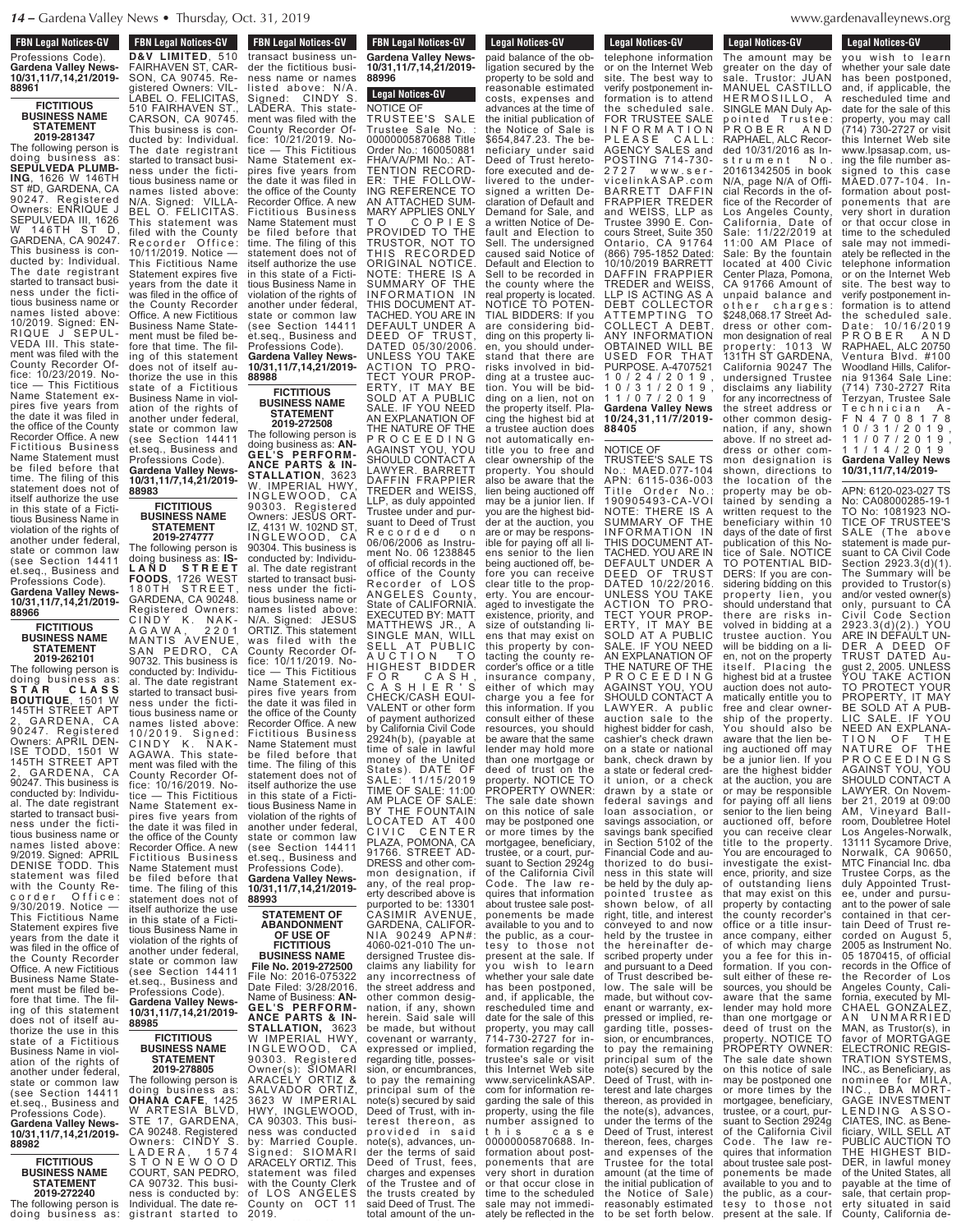**FBN Legal Notices-GV** 

**DOMING BUSINESS ASSESSED** 

**FBN Legal Notices-GV EXAGE ENDINE CONCRETE AND THE STATE** Professions Code). **Gardena Valley News-10/31,11/7,14,21/2019-**

# **FICTITIOUS BUSINESS NAME STATEMENT**

**88961**

**2019-281347** The following person is doing business as: **SEPULVEDA PLUMB-ING**, 1626 W 146TH ST #D, GARDENA, CA 90247. Registered Owners: ENRIQUE J SEPULVEDA III, 1626 W 146TH ST D, GARDENA, CA 90247. This business is conducted by: Individual. The date registrant started to transact business under the fictitious business name or names listed above: 10/2019. Signed: EN-RIQUE J SEPUL-VEDA III. This statement was filed with the County Recorder Office: 10/23/2019. Notice — This Fictitious Name Statement expires five years from the date it was filed in the office of the County Recorder Office. A new Fictitious Business Name Statement must be filed before that time. The filing of this statement does not of itself authorize the use in this state of a Fictitious Business Name in violation of the rights of another under federal, state or common law (see Section 14411 et.seq., Business and Professions Code).

#### **Gardena Valley News-10/31,11/7,14,21/2019- 88966**

**FICTITIOUS BUSINESS NAME STATEMENT**

**2019-262101** The following person is doing business as: **S T A R C L A S S BOUTIQUE**, 1501 W 145TH STREET APT 2, GARDENA, CA 90247. Registered Owners: APRIL DEN-ISE TODD, 1501 W 145TH STREET APT 2, GARDENA, CA 90247. This business is conducted by: Individual. The date registrant started to transact business under the fictitious business name or names listed above: 9/2019. Signed: APRIL DENISE TODD. This statement was filed with the County Re-c o r d e r O f f i c e : 9/30/2019. Notice — This Fictitious Name Statement expires five years from the date it was filed in the office of the County Recorder Office. A new Fictitious Business Name Statement must be filed before that time. The filing of this statement does not of itself authorize the use in this state of a Fictitious Business Name in violation of the rights of another under federal, state or common law (see Section 14411 et.seq., Business and Professions Code). **Gardena Valley News-10/31,11/7,14,21/2019- 88982**

# **FICTITIOUS BUSINESS NAME STATEMENT 2019-272240**

The following person is doing business as:<br>*<u>A</u>* 

be filed before that time. The filing of this statement does not of itself authorize the use in this state of a Fictitious Business Name in violation of the rights of another under federal, state or common law (see Section 14411 et.seq., Business and Professions Code). **Gardena Valley News-10/31,11/7,14,21/2019- 88988 FICTITIOUS BUSINESS NAME STATEMENT 2019-272508** The following person is doing business as: **AN-GEL'S PERFORM-D&V LIMITED**, 510 FAIRHAVEN ST, CAR-SON, CA 90745. Registered Owners: VIL-LABEL O. FELICITAS, 510 FAIRHAVEN ST. CARSON, CA 90745. This business is conducted by: Individual. The date registrant started to transact business under the fictitious business name or names listed above: N/A. Signed: VILLA-N/A. Signed: VILLA This statement was filed with the County Recorder Office: Recorder Offic<br>10/11/2019. Notice This Fictitious Name Statement expires five years from the date it was filed in the office of the County Recorder Office. A new Fictitious Business Name Statement must be filed before that time. The filing of this statement does not of itself authorize the use in this state of a Fictitious Business Name in violation of the rights of another under federal, state or common law (see Section 14411 et.seq., Business and

### **88983 FICTITIOUS BUSINESS NAME STATEMENT 2019-274777**

Professions Code). **Gardena Valley News-10/31,11/7,14,21/2019-**

Professions Code). **88993** The following person is doing business as: **IS-L A N D S T R E E T** LAND STREET<br>**FOODS**, 1726 WEST<br>180TH STREET 180TH STREET, GARDENA, CA 90248. Registered Owners: CIÑDY K. NAK-A G A W A , 2 2 0 1 M ANTIS AVENUE, SAN PEDRO, CA 90732. This business is conducted by: Individual. The date registrant started to transact business under the fictitious business name or names listed above: 10/2019. Signed: CINDY K. NAK-AGAWA. This statement was filed with the County Recorder Office: 10/16/2019. Notice — This Fictitious Name Statement expires five years from the date it was filed in the office of the County Recorder Office. A new Fictitious Business Name Statement must be filed before that time. The filing of this statement does not of itself authorize the use in this state of a Fictitious Business Name in violation of the rights of another under federal, state or common law (see Section 14411 et.seq., Business and

**STATEMENT OF**

**OF USE OF FICTITIOUS**

**10/31,11/7,14,21/2019- 88985 FICTITIOUS BUSINESS NAME STATEMENT**

Individual. The date re-

Professions Code). **Gardena Valley News-**

#### **2019-278805** The following person is doing business as: **OHANA CAFE**, 1425 W ARTESIA BLVD, STE 17, GARDENA, CA 90248. Registered Owners: CINDY S. L A D E R A , 1 5 7 4 S T O N E W O O D COURT, SAN PEDRO, CA 90732. This business is conducted by:

gistrant started to 2019.

**FBN Legal Notices-GV** <u>FDN L</u> **Gardena Valley News-10/31,11/7,14,21/2019- 88996 Legal Notices-GV** NOTICE OF TRUSTEE'S SALE Trustee Sale No. : **FBN Legal Notices-GV**  $\frac{1}{2}$  ... rbn Leyal Nullles-GV transact business under the fictitious business name or names listed above: N/A. Signed: CINDY S. LADERA. This statement was filed with the County Recorder Of- $\frac{600 \text{ m/s}}{10 \text{ cm}}$  fice: 10/21/2019. No-- This Fictitious Name Statement expires five years from the date it was filed in the office of the County Recorder Office. A new Fictitious Business Name Statement must

00000005870688 Title Order No.: 160050881 FHA/VA/PMI No.: AT-TENTION RECORD-ER: THE FOLLOW-ING REFERENCE TO AN ATTACHED SUM-MARY APPLIES ONLY T O C O P I E S PROVIDED TO THE TRUSTOR, NOT TO THIS RECORDED ORIGINAL NOTICE. NOTE: THERE IS A SUMMARY OF THE INFORMATION IN THIS DOCUMENT AT-TACHED. YOU ARE IN DEFAULT UNDER A DEED OF TRUST, DATED 05/30/2006. UNLESS YOU TAKE ACTION TO PRO-TECT YOUR PROP-ERTY, IT MAY BE SOLD AT A PUBLIC SALE. IF YOU NEED AN EXPLANATION OF THE NATURE OF THE P R O C E E D I N G AGAINST YOU, YOU SHOULD CONTACT A LAWYER. BARRETT DAFFIN FRAPPIER TREDER and WEISS LLP, as duly appointed Trustee under and pursuant to Deed of Trust Recorded on 06/06/2006 as Instrument No. 06 1238845 of official records in the office of the County Recorder of LOS ANGELES County, State of CALIFORNIA. EXECUTED BY: MATT MATTHEWS JR., A SINGLE MAN, WILL SELL AT PUBLIC AUCTION TO HIGHEST BIDDER F O R C A S H , C A S H I E R ' S CHECK/CASH EQUI-VALENT or other form of payment authorized by California Civil Code 2924h(b), (payable at time of sale in lawful money of the United States). DATE OF SALE: 11/15/2019 TIME OF SALE: 11:00 AM PLACE OF SALE: BY THE FOUNTAIN LOCATED AT 400 CIVIC CENTER PLAZA, POMONA, CA 91766. STREET AD-DRESS and other common designation, if any, of the real property described above is purported to be: 13301 CASIMIR AVENUE, GARDENA, CALIFOR-NIA 90249 APN#: 4060-021-010 The undersigned Trustee disclaims any liability for any incorrectness of the street address and other common designation, if any, shown herein. Said sale will be made, but without covenant or warranty, expressed or implied, regarding title, possession, or encumbrances to pay the remaining principal sum of the note(s) secured by said Deed of Trust, with interest thereon, as provided in said note(s), advances, under the terms of said Deed of Trust, fees, charges and expenses of the Trustee and of the trusts created by said Deed of Trust. The total amount of the un-**ANCE PARTS & IN-STALLATION**, 3623 W. IMPERIAL HWY, INGLEWOOD, CA 90303. Registered Owners: JESUS ORT-IZ, 4131 W. 102ND ST, INGLEWOOD, CA 90304. This business is conducted by: Individual. The date registrant started to transact business under the fictitious business name or names listed above: N/A. Signed: JESUS ORTIZ. This statement was filed with the County Recorder Office: 10/11/2019. Notice — This Fictitious Name Statement expires five years from the date it was filed in the office of the County Recorder Office. A new Fictitious Business Name Statement must be filed before that time. The filing of this statement does not of itself authorize the use in this state of a Fictitious Business Name in violation of the rights of another under federal, state or common law (see Section 14411 et.seq., Business and **Gardena Valley News-10/31,11/7,14,21/2019- ABANDONMENT BUSINESS NAME File No. 2019-272500** File No: 2016-075322 Date Filed: 3/28/2016. Name of Business: **AN-GEL'S PERFORM-ANCE PARTS & IN-STALLATION,** 3623 W IMPERIAL HWY, INGLEWOOD, CA 90303. Registered Owner(s): SIOMARI ARACELY ORTIZ & SALVADOR ORTIZ, 3623 W IMPERIAL HWY, INGLEWOOD, CA 90303. This business was conducted by: Married Couple. Signed: SIOMARI ARACELY ORTIZ. This statement was filed with the County Clerk of LOS ANGELES County on OCT 11

**88405 Legal Notices-GV** Legal Nutries-GV paid balance of the obligation secured by the property to be sold and reasonable estimated costs, expenses and advances at the time of the initial publication of the Notice of Sale is \$654,847.23. The beneficiary under said Deed of Trust heretofore executed and delivered to the undersigned a written Declaration of Default and Demand for Sale, and a written Notice of Default and Election to Sell. The undersigned caused said Notice of Default and Election to Sell to be recorded in the county where the real property is located. NOTICE TO POTEN-TIAL BIDDERS: If you are considering bidding on this property lien, you should understand that there are risks involved in bidding at a trustee auction. You will be bidding on a lien, not on the property itself. Placing the highest bid at a trustee auction does not automatically entitle you to free and clear ownership of the property. You should also be aware that the lien being auctioned off may be a junior lien. If you are the highest bidder at the auction, you are or may be responsible for paying off all liens senior to the lien being auctioned off, before you can receive clear title to the property. You are encouraged to investigate the existence, priority, and size of outstanding liens that may exist on this property by contacting the county recorder's office or a title insurance company, either of which may charge you a fee for this information. If you consult either of these resources, you should be aware that the same lender may hold more than one mortgage or deed of trust on the property. NOTICE TO PROPERTY OWNER: The sale date shown on this notice of sale may be postponed one or more times by the mortgagee, beneficiary, trustee, or a court, pursuant to Section 2924g of the California Civil Code. The law requires that information about trustee sale postponements be made available to you and to the public, as a courtesy to those not present at the sale. If you wish to learn whether your sale date has been postponed, and, if applicable, the rescheduled time and date for the sale of this property, you may call 714-730-2727 for information regarding the trustee's sale or visit this Internet Web site www.servicelinkASAP com for information regarding the sale of this property, using the file number assigned to this case 00000005870688. Information about postponements that are very short in duration or that occur close in time to the scheduled sale may not immediately be reflected in the

**Legal Notices-GV** 

Legal Nutries-GV telephone information or on the Internet Web site. The best way to verify postponement information is to attend the scheduled sale. FOR TRUSTEE SALE I N F O R M A T I O N P L E A S E C A L L : AGENCY SALES and POSTING 714-730- 2727 www.ser-<br>vicelinkASAP.com v i c e l i n kASAP. c o m BARRETT DAFFIN FRAPPIER TREDER and WEISS, LLP as Trustee 3990 E. Concours Street, Suite 350 Ontario, CA 91764 (866) 795-1852 Dated: 10/10/2019 BARRETT DAFFIN FRAPPIER TREDER and WEISS, LLP IS ACTING AS A DEBT COLLECTOR **ATTEMPTING** COLLECT A DEBT. ANY INFORMATION OBTAINED WILL BE USED FOR THAT PURPOSE. A-4707521 1 0 / 2 4 / 2 0 1 9 , 1 0 / 3 1 / 2 0 1 9 , 1 1 / 0 7 / 2 0 1 9 **Gardena Valley News 10/24,31,11/7/2019-**

present at the sale. If NOTICE OF TRUSTEE'S SALE TS No.: MAED.077-104 APN: 6115-036-003 Title Order No.: 190905493-CA-VOI NOTE: THERE IS A SUMMARY OF THE INFORMATION IN THIS DOCUMENT AT-TACHED. YOU ARE IN DEFAULT UNDER A DEED OF TRUST DATED 10/22/2016. UNLESS YOU TAKE ACTION TO PRO-TECT YOUR PROP-ERTY, IT MAY BE SOLD AT A PUBLIC SALE. IF YOU NEED AN EXPLANATION OF THE NATURE OF THE P R O C E E D I N G AGAINST YOU, YOU SHOULD CONTACT A LAWYER. A public auction sale to the highest bidder for cash cashier's check drawn on a state or national bank, check drawn by a state or federal credit union, or a check drawn by a state or federal savings and loan association, or savings association, or savings bank specified in Section 5102 of the Financial Code and authorized to do business in this state will be held by the duly appointed trustee as<br>shown below, of all right, title, and interest conveyed to and now held by the trustee in the hereinafter described property under and pursuant to a Deed of Trust described below. The sale will be made, but without covenant or warranty, expressed or implied, regarding title, possession, or encumbrances, to pay the remaining principal sum of the note(s) secured by the Deed of Trust, with interest and late charges thereon, as provided in the note(s), advances, under the terms of the Deed of Trust, interest thereon, fees, charges and expenses of the Trustee for the total amount (at the time of the initial publication of the Notice of Sale) reasonably estimated to be set forth below.

The amount may be

denavalle vnews org  $\frac{1}{2}$ the initial publication of  $WWWQ$  $\ldots$   $\ldots$   $\ldots$   $\ldots$ 

**Legal Notices-GV Legal Nutiles-GV** you wish to learn whether your sale date has been postponed, and, if applicable, the rescheduled time and date for the sale of this property, you may call (714) 730-2727 or visit this Internet Web site www.lpsasap.com, using the file number assigned to this case MAED.077-104. Information about postponements that are very short in duration or that occur close in time to the scheduled sale may not immediately be reflected in the telephone information **Legal Notices-GV** Legal Nutries-GV The amount may be greater on the day of sale. Trustor: JUAN MANUEL CASTILLO HERMOSILLO, A SINGLE MAN Duly Appointed Trustee:<br>pointed Trustee:<br>P R O B F P P R O B E R A N D RAPHAEL, ALC Recorded 10/31/2016 as ln-<br>strument No. strument No. 20161342505 in book N/A, page N/A of Official Records in the office of the Recorder of Los Angeles County, California, Date of Sale: 11/22/2019 at 11:00 AM Place of Sale: By the fountain located at 400 Civic Center Plaza, Pomona, CA 91766 Amount of unpaid balance and<br>other charges: charges: \$248,068.17 Street Address or other common designation of real property: 1013 W 131TH ST GARDENA, California 90247 The undersigned Trustee disclaims any liability for any incorrectness of the street address or other common designation, if any, shown above. If no street address or other common designation is shown, directions to the location of the property may be obtained by sending a written request to the beneficiary within 10 days of the date of first publication of this Notice of Sale. NOTICE TO POTENTIAL BID-DERS: If you are considering bidding on this property lien, you should understand that there are risks involved in bidding at a trustee auction. You will be bidding on a lien, not on the property itself. Placing the highest bid at a trustee auction does not automatically entitle you to free and clear ownership of the property. You should also be aware that the lien being auctioned off may be a junior lien. If you are the highest bidder at the auction, you are or may be responsible for paying off all liens senior to the lien being auctioned off, before you can receive clear title to the property. You are encouraged to investigate the existence, priority, and size of outstanding liens that may exist on this property by contacting the county recorder's office or a title insurance company, either of which may charge you a fee for this in-formation. If you consult either of these resources, you should be aware that the same lender may hold more than one mortgage or deed of trust on the property. NOTICE TO PROPERTY OWNER: The sale date shown

on this notice of sale may be postponed one or more times by the mortgagee, beneficiary, trustee, or a court, pursuant to Section 2924g of the California Civil Code. The law requires that information about trustee sale postponements be made available to you and to the public, as a courtesy to those not

or on the Internet Web site. The best way to verify postponement information is to attend the scheduled sale. Date: 10/16/2019 P R O B E R A N D RAPHAEL, ALC 20750 Ventura Blvd. #100 Woodland Hills, California 91364 Sale Line nia 91364 Sale Line: (714) 730-2727 Rita Terzyan, Trustee Sale Technician A-F N 4 7 0 8 1 7 8 1 0 / 3 1 / 2 0 1 9 , 1 1 / 0 7 / 2 0 1 9 , 1 1 / 1 4 / 2 0 1 9 **Gardena Valley News 10/31,11/7,14/2019-** APN: 6120-023-027 TS No: CA08000285-19-1 TO No: 1081923 NO-TICE OF TRUSTEE'S SALE (The above statement is made pursuant to CA Civil Code Section 2923.3(d)(1). The Summary will be provided to Trustor(s) and/or vested owner(s) only, pursuant to CA Civil Code Section 2923.3(d)(2).) YOU ARE IN DEFAULT UN-DER A DEED OF TRUST DATED August 2, 2005. UNLESS YOU TAKE ACTION TO PROTECT YOUR PROPERTY, IT MAY BE SOLD AT A PUB-LIC SALE. IF YOU NEED AN EXPLANA-TION OF THE NATURE OF THE P R O C E E D I N G S AGAINST YOU, YOU SHOULD CONTACT A LAWYER. On November 21, 2019 at 09:00 AM, Vineyard Ballroom, Doubletree Hotel Los Angeles-Norwalk, 13111 Sycamore Drive, Norwalk, CA 90650, MTC Financial Inc. dba Trustee Corps, as the duly Appointed Trustee, under and pursu-ant to the power of sale contained in that certain Deed of Trust recorded on August 5, 2005 as Instrument No. 05 1870415, of official records in the Office of the Recorder of Los Angeles County, California, executed by MI-CHAEL GONZALEZ, U N M A R R I E D MAN, as Trustor(s), in favor of MORTGAGE ELECTRONIC REGIS-TRATION SYSTEMS, INC., as Beneficiary, as nominee for MILA, INC., DBA MORT-GAGE INVESTMENT LENDING ASSO-CIATES, INC. as Beneficiary, WILL SELL AT PUBLIC AUCTION TO THE HIGHEST BID-DER, in lawful money of the United States, all payable at the time of sale, that certain property situated in said County, California de-